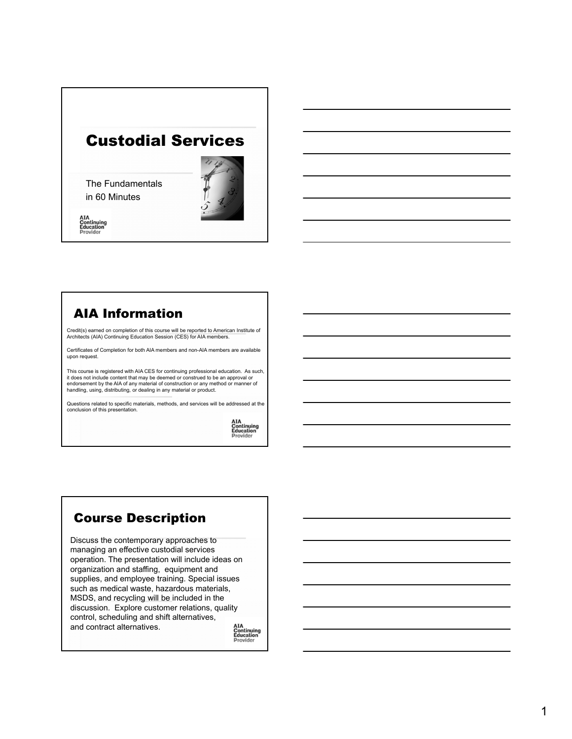# Custodial Services

The Fundamentals in 60 Minutes



**AIA<br>Continuing<br>Education**<br>Provider

## AIA Information

Credit(s) earned on completion of this course will be reported to American Institute of Architects (AIA) Continuing Education Session (CES) for AIA members.

Certificates of Completion for both AIA members and non-AIA members are available upon request.

This course is registered with AIA CES for continuing professional education. As such, it does not include content that may be deemed or construed to be an approval or endorsement by the AIA of any material of construction or any method or manner of handling, using, distributing, or dealing in any material or product.

Questions related to specific materials, methods, and services will be addressed at the conclusion of this presentation.

AIA<br>Continuing<br>Education<br>Provider

# Course Description

Discuss the contemporary approaches to managing an effective custodial services operation. The presentation will include ideas on organization and staffing, equipment and supplies, and employee training. Special issues such as medical waste, hazardous materials, MSDS, and recycling will be included in the discussion. Explore customer relations, quality control, scheduling and shift alternatives, and contract alternatives.

**AIA<br>Continuing<br>Education**<br>Provider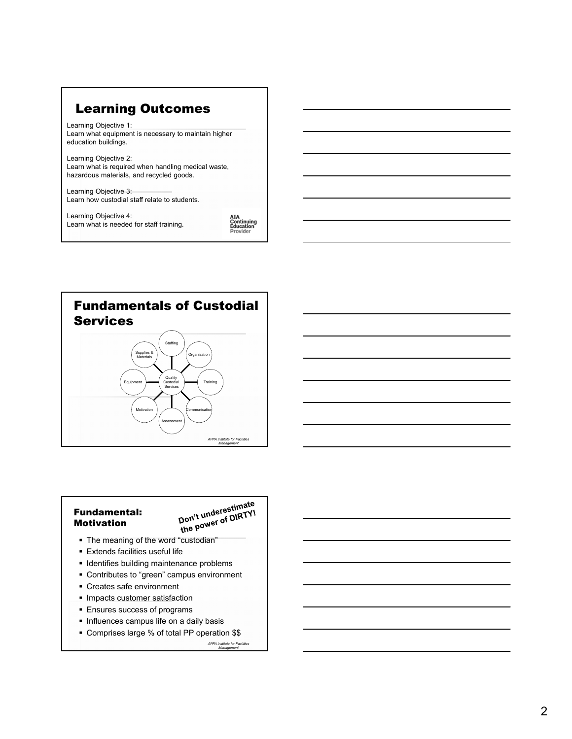## Learning Outcomes

Learning Objective 1: Learn what equipment is necessary to maintain higher education buildings.

Learning Objective 2: Learn what is required when handling medical waste, hazardous materials, and recycled goods.

Learning Objective 3: Learn how custodial staff relate to students.

Learning Objective 4: Learn what is needed for staff training. AIA<br>Continuing<br>Education Provider



#### Fundamental: Motivation

Don't underestimate **The motivation Conduction**<br>The meaning of the word "custodian"<br>The meaning of the word "custodian"

- 
- Extends facilities useful life
- **IDENTIFIELD I** Identifies building maintenance problems
- Contributes to "green" campus environment
- Creates safe environment
- **Impacts customer satisfaction**
- Ensures success of programs
- **Influences campus life on a daily basis**
- Comprises large % of total PP operation \$\$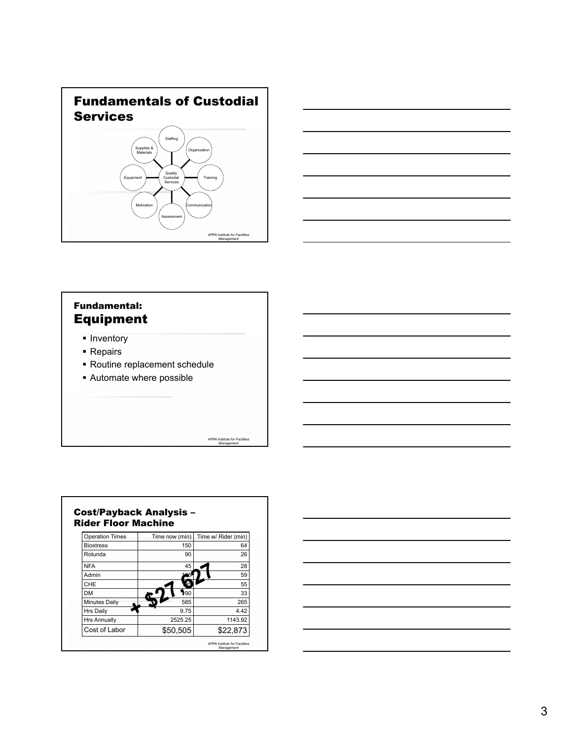



### Fundamental: Equipment

- **Inventory**
- Repairs
- Routine replacement schedule
- Automate where possible



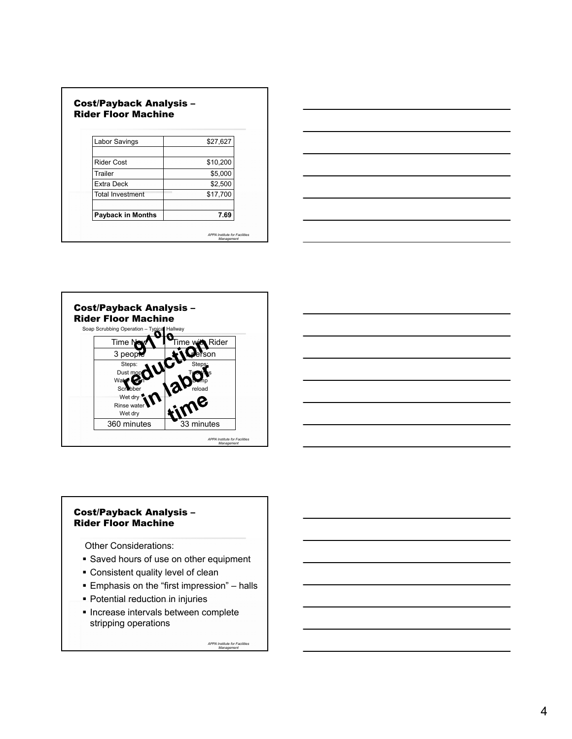| Labor Savings            | \$27,627 |
|--------------------------|----------|
| Rider Cost               | \$10,200 |
| Trailer                  | \$5,000  |
| Extra Deck               | \$2,500  |
| Total Investment         | \$17,700 |
| <b>Payback in Months</b> | 7.69     |





#### Cost/Payback Analysis – Rider Floor Machine

Other Considerations:

- **Saved hours of use on other equipment**
- Consistent quality level of clean
- Emphasis on the "first impression" halls
- Potential reduction in injuries
- **Increase intervals between complete** stripping operations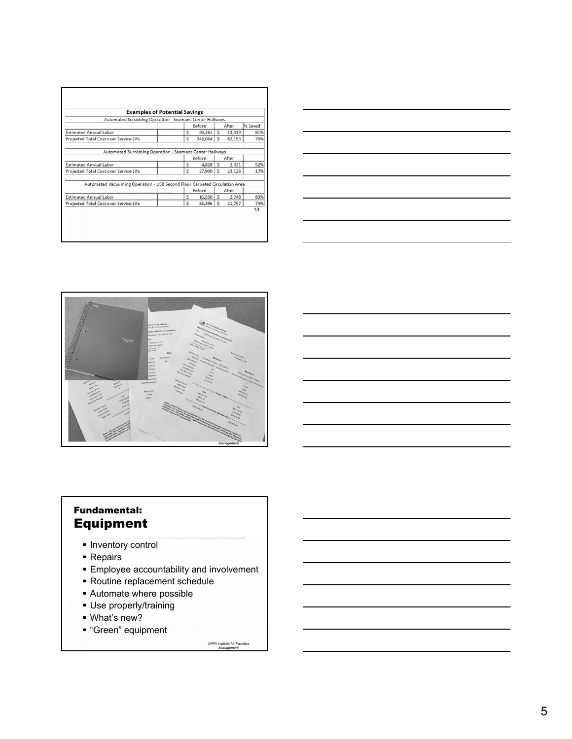| <b>Examples of Potential Savings</b>                                       |  |                 |                                      |              |        |         |  |
|----------------------------------------------------------------------------|--|-----------------|--------------------------------------|--------------|--------|---------|--|
| Automated Scrubbing Operation - Seamans Center Hallways                    |  |                 |                                      |              |        |         |  |
|                                                                            |  |                 | Before                               |              | After  | % Saved |  |
| <b>Estimated Annual Labor</b>                                              |  | \$              | 69.261                               | \$           | 13,319 | 81%     |  |
| Projected Total Cost over Service Life                                     |  | Ś               | 346,064                              | Ś            | 82.193 | 76%     |  |
| Automated Burnishing Operation - Seamans Center Hallways                   |  |                 |                                      |              |        |         |  |
|                                                                            |  | Before<br>After |                                      |              |        |         |  |
| <b>Estimated Annual Labor</b>                                              |  | Ś               | 4,828                                | \$           | 2.331  | 52%     |  |
| Projected Total Cost over Service Life                                     |  | Ś               | 27,900                               | Ś            | 23,126 | 17%     |  |
| Automated Vacuuming Operation - USB Second Floor Carpeted Circulation Area |  |                 |                                      |              |        |         |  |
|                                                                            |  | Before          |                                      | After        |        |         |  |
| <b>Estimated Annual Labor</b>                                              |  | \$              | $16,550$ $\overline{\phantom{1}}$ \$ |              | 2,748  | 83%     |  |
| Projected Total Cost over Service Life                                     |  | Ś               | 83,396                               | $\mathsf{s}$ | 21,797 | 74%     |  |
|                                                                            |  |                 |                                      |              |        | 13      |  |
|                                                                            |  |                 |                                      |              |        |         |  |





## Fundamental: Equipment

- **Inventory control**
- **Repairs**
- **Employee accountability and involvement**
- Routine replacement schedule
- Automate where possible
- Use properly/training
- What's new?
- "Green" equipment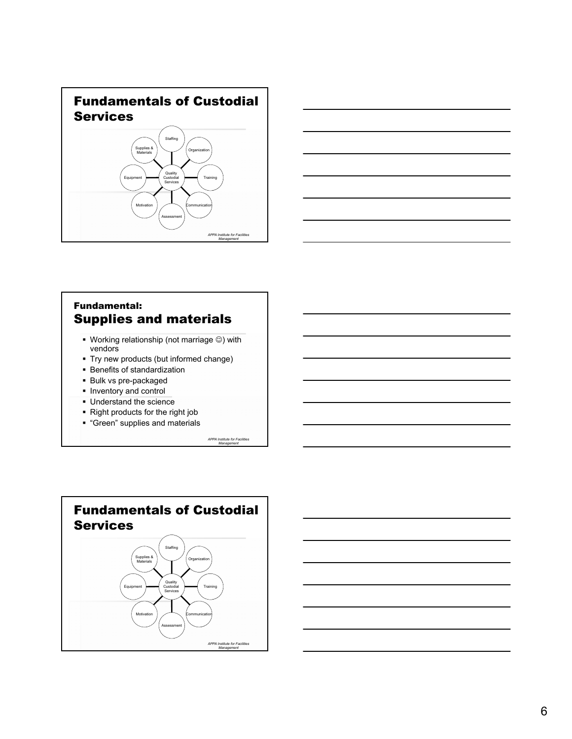



### Fundamental: Supplies and materials

- $\blacksquare$  Working relationship (not marriage  $\textcircled{\tiny{\textcircled{\tiny\textcirc}}}$ ) with vendors
- Try new products (but informed change)
- **Benefits of standardization**
- Bulk vs pre-packaged
- **Inventory and control**
- **Understand the science**
- Right products for the right job
- **"Green" supplies and materials**



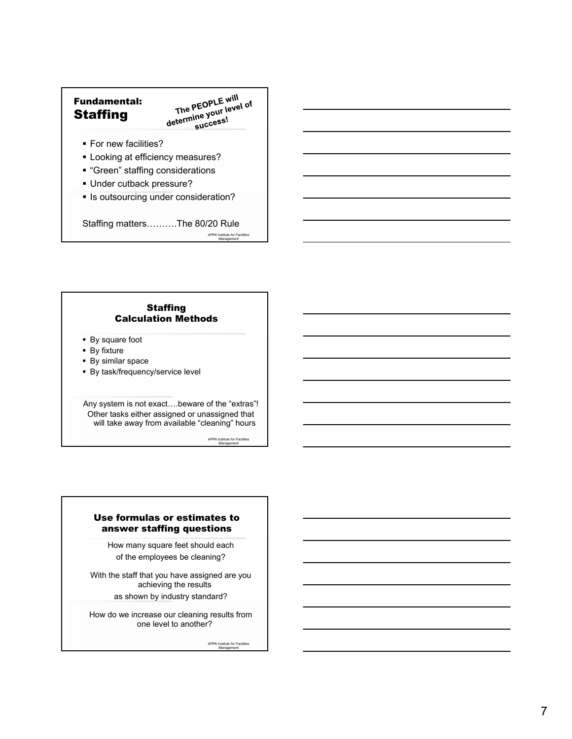### Fundamental: **Staffing**

The PEOPLE will The PEOPLE will<br>determine your level of<br>determine your level of success!

- **For new facilities?**
- **-** Looking at efficiency measures?
- "Green" staffing considerations
- Under cutback pressure?
- **Is outsourcing under consideration?**

Staffing matters……….The 80/20 Rule *APPA Institute for Facilities Management*

#### **Staffing** Calculation Methods

- By square foot
- **By fixture**
- **By similar space**
- By task/frequency/service level

Any system is not exact….beware of the "extras"! Other tasks either assigned or unassigned that will take away from available "cleaning" hours

*APPA Institute for Facilities Management*

#### Use formulas or estimates to answer staffing questions

How many square feet should each of the employees be cleaning?

With the staff that you have assigned are you achieving the results as shown by industry standard?

How do we increase our cleaning results from one level to another?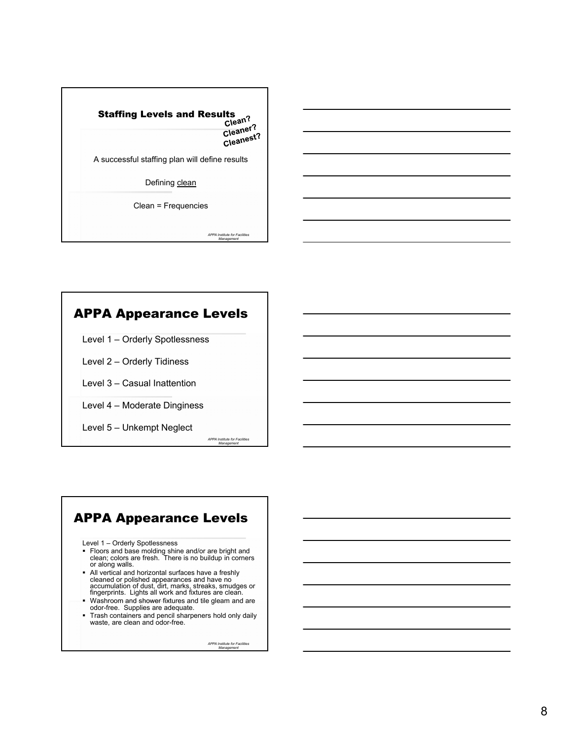# **Staffing Levels and Results** Cleaner?<br>Cleaner? Cleanest?<br>Cleanest? A successful staffing plan will define results Defining clean Clean = Frequencies

*APPA Institute for Facilities Management*

# APPA Appearance Levels

- Level 1 Orderly Spotlessness
- Level 2 Orderly Tidiness
- Level 3 Casual Inattention
- Level 4 Moderate Dinginess
- Level 5 Unkempt Neglect

*APPA Institute for Facilities Management*

# APPA Appearance Levels

- Level 1 Orderly Spotlessness
- Floors and base molding shine and/or are bright and clean; colors are fresh. There is no buildup in corners or along walls.
- All vertical and horizontal surfaces have a freshly cleaned or polished appearances and have no accumulation of dust, dirt, marks, streaks, smudges or fingerprints. Lights all work and fixtures are clean.
- Washroom and shower fixtures and tile gleam and are
- odor-free. Supplies are adequate. Trash containers and pencil sharpeners hold only daily
- waste, are clean and odor-free.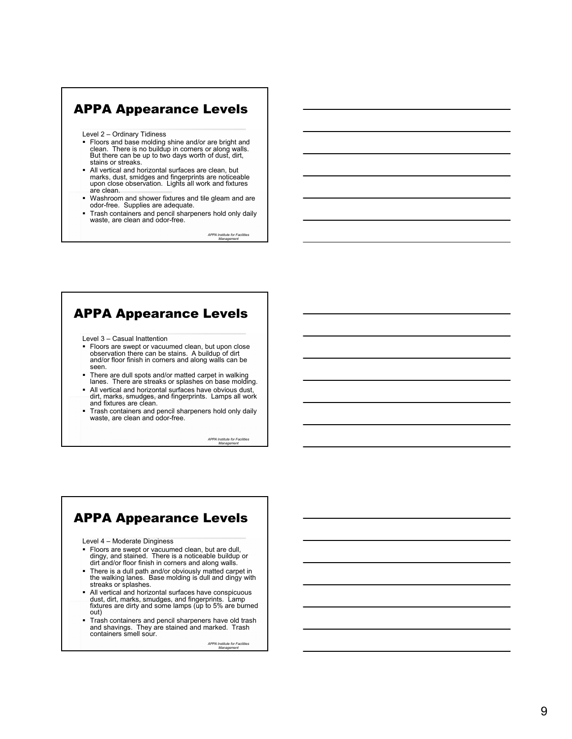# APPA Appearance Levels

Level 2 – Ordinary Tidiness

- Floors and base molding shine and/or are bright and clean. There is no buildup in corners or along walls. But there can be up to two days worth of dust, dirt, stains or streaks.
- All vertical and horizontal surfaces are clean, but marks, dust, smidges and fingerprints are noticeable upon close observation. Lights all work and fixtures are clean.
- Washroom and shower fixtures and tile gleam and are odor-free. Supplies are adequate.
- **Trash containers and pencil sharpeners hold only daily** waste, are clean and odor-free.

*APPA Institute for Facilities Management*

### APPA Appearance Levels

Level 3 – Casual Inattention

- **Floors are swept or vacuumed clean, but upon close** observation there can be stains. A buildup of dirt and/or floor finish in corners and along walls can be seen.
- There are dull spots and/or matted carpet in walking lanes. There are streaks or splashes on base molding.
- All vertical and horizontal surfaces have obvious dust, dirt, marks, smudges, and fingerprints. Lamps all work and fixtures are clean.
- Trash containers and pencil sharpeners hold only daily waste, are clean and odor-free.

*APPA Institute for Facilities Management*

### APPA Appearance Levels

Level 4 – Moderate Dinginess

- Floors are swept or vacuumed clean, but are dull, dingy, and stained. There is a noticeable buildup or dirt and/or floor finish in corners and along walls.
- There is a dull path and/or obviously matted carpet in the walking lanes. Base molding is dull and dingy with streaks or splashes.
- All vertical and horizontal surfaces have conspicuous dust, dirt, marks, smudges, and fingerprints. Lamp fixtures are dirty and some lamps (up to 5% are burned out)
- Trash containers and pencil sharpeners have old trash and shavings. They are stained and marked. Trash containers smell sour.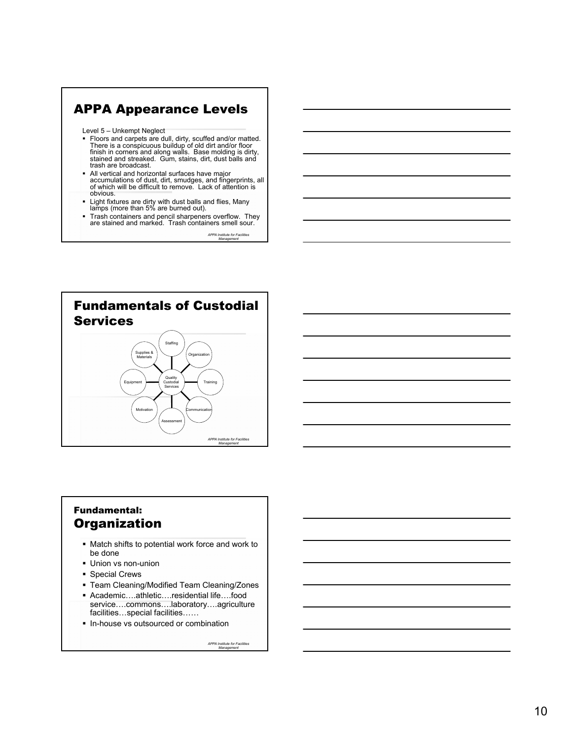# APPA Appearance Levels

Level 5 – Unkempt Neglect

- Floors and carpets are dull, dirty, scuffed and/or matted. There is a conspicuous buildup of old dirt and/or floor finish in corners and along walls. Base molding is dirty, stained and streaked. Gum, stains, dirt, dust balls and trash are broadcast.
- All vertical and horizontal surfaces have major accumulations of dust, dirt, smudges, and fingerprints, all of which will be difficult to remove. Lack of attention is obvious.
- Light fixtures are dirty with dust balls and flies, Many lamps (more than 5% are burned out).
- Trash containers and pencil sharpeners overflow. They are stained and marked. Trash containers smell sour.

*APPA Institute for Facilities Management*



### Fundamental: **Organization**

- Match shifts to potential work force and work to be done
- Union vs non-union
- **Special Crews**
- Team Cleaning/Modified Team Cleaning/Zones
- Academic….athletic….residential life….food service….commons….laboratory….agriculture facilities…special facilities……
- In-house vs outsourced or combination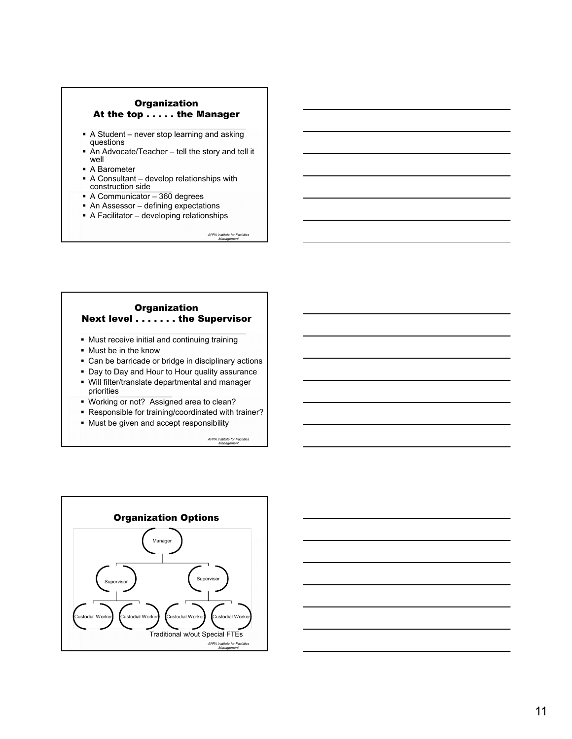#### **Organization** At the top . . . . . the Manager

- A Student never stop learning and asking questions
- An Advocate/Teacher tell the story and tell it well ■ A Barometer
- 
- A Consultant develop relationships with construction side
- A Communicator 360 degrees
- An Assessor defining expectations
- A Facilitator developing relationships

*APPA Institute for Facilities Management*

#### **Organization** Next level . . . . . . . the Supervisor

- Must receive initial and continuing training
- Must be in the know
- Can be barricade or bridge in disciplinary actions
- Day to Day and Hour to Hour quality assurance
- Will filter/translate departmental and manager priorities
- Working or not? Assigned area to clean?
- Responsible for training/coordinated with trainer?
- **Must be given and accept responsibility**



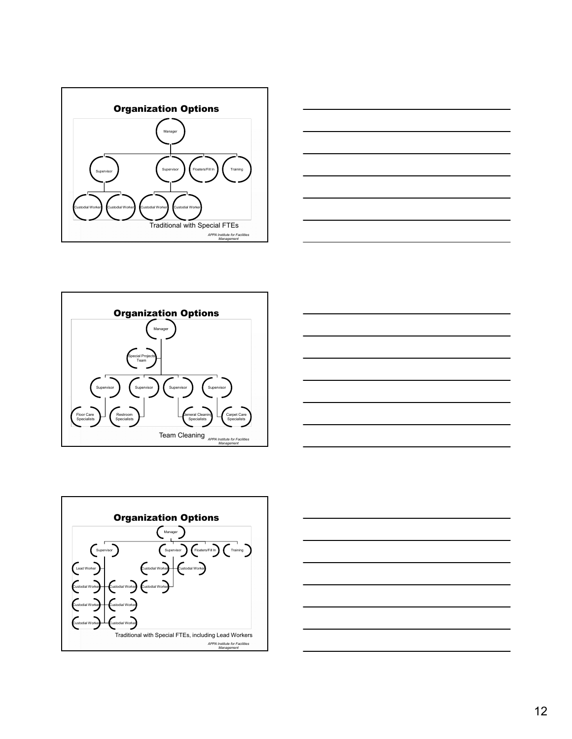









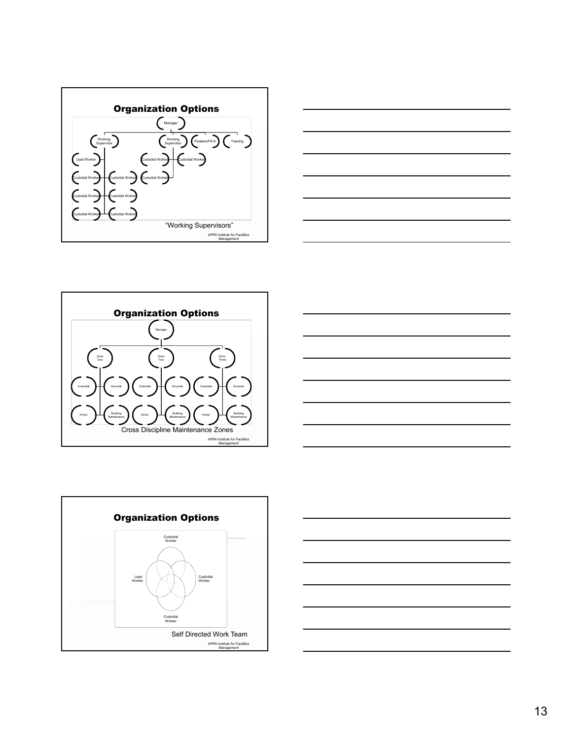









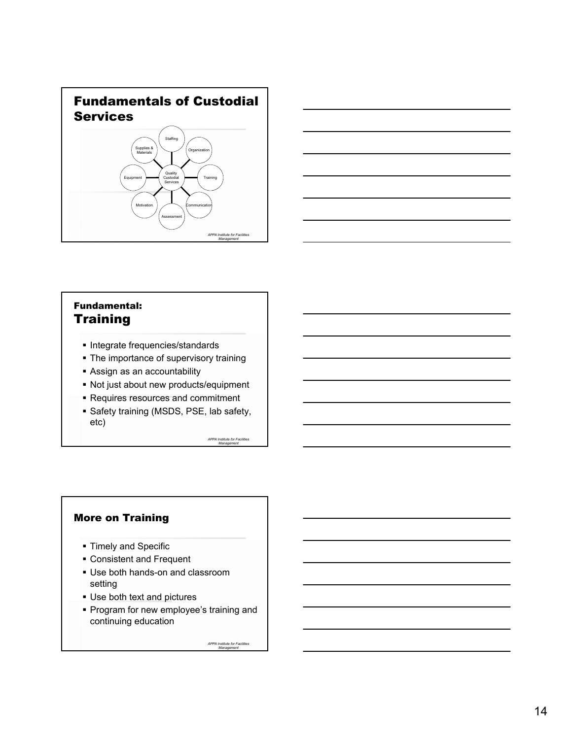



### Fundamental: **Training**

- **Integrate frequencies/standards**
- The importance of supervisory training
- Assign as an accountability
- Not just about new products/equipment
- Requires resources and commitment
- Safety training (MSDS, PSE, lab safety, etc)

*APPA Institute for Facilities Management*

### More on Training

- **Timely and Specific**
- Consistent and Frequent
- Use both hands-on and classroom setting
- Use both text and pictures
- **Program for new employee's training and** continuing education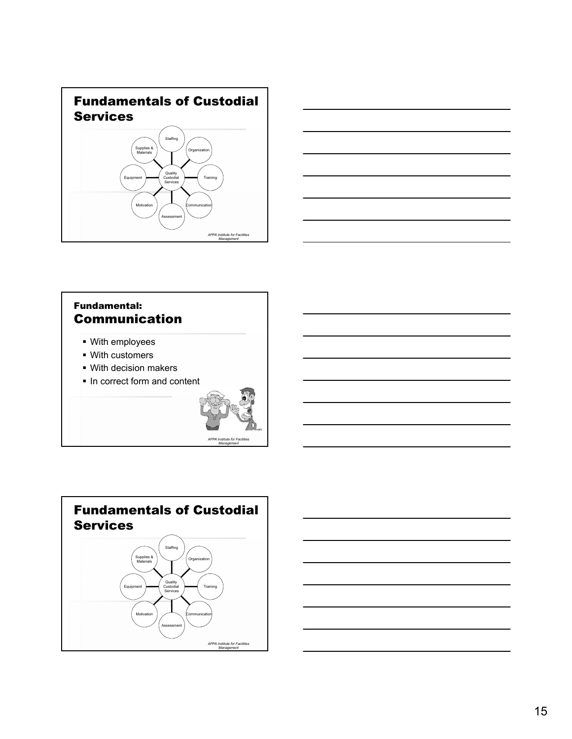



### Fundamental: Communication

- With employees
- With customers
- With decision makers
- **In correct form and content**



*Management*



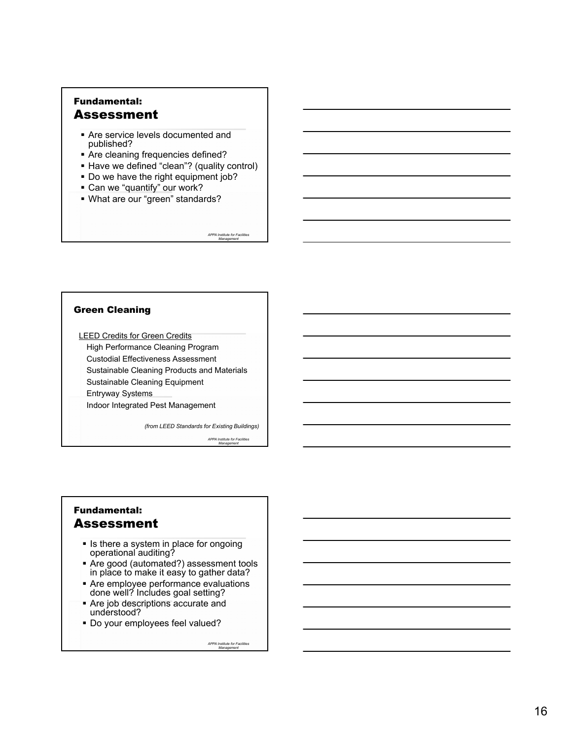### Fundamental: Assessment

- Are service levels documented and published?
- Are cleaning frequencies defined?
- Have we defined "clean"? (quality control)
- Do we have the right equipment job?
- Can we "quantify" our work?
- What are our "green" standards?

*APPA Institute for Facilities Management*

#### Green Cleaning

LEED Credits for Green Credits High Performance Cleaning Program Custodial Effectiveness Assessment Sustainable Cleaning Products and Materials Sustainable Cleaning Equipment Entryway Systems Indoor Integrated Pest Management

*(from LEED Standards for Existing Buildings)*

*APPA Institute for Facilities Management*

### Fundamental: Assessment

- **Is there a system in place for ongoing** operational auditing?
- Are good (automated?) assessment tools in place to make it easy to gather data?
- Are employee performance evaluations done well? Includes goal setting?
- Are job descriptions accurate and understood?
- Do your employees feel valued?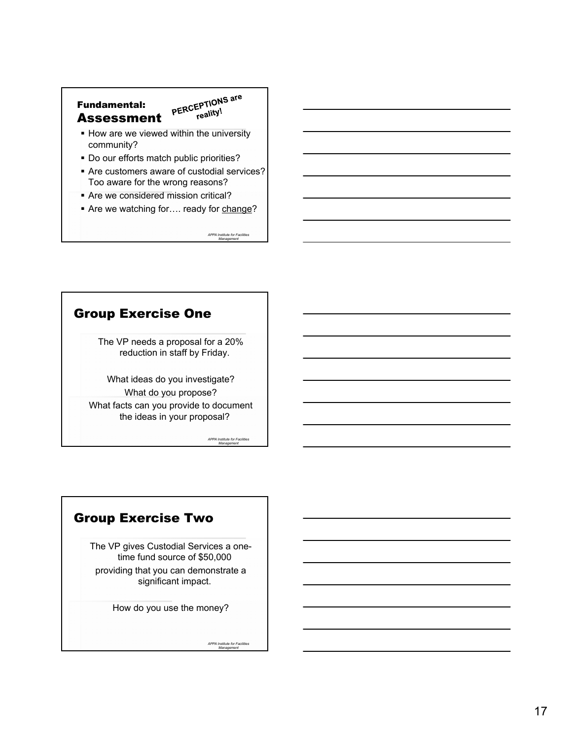### Fundamental: Assessment

PERCEPTIONS are  $F$ reality!

- **How are we viewed within the university** community?
- Do our efforts match public priorities?
- Are customers aware of custodial services? Too aware for the wrong reasons?
- **Are we considered mission critical?**
- Are we watching for.... ready for change?

*APPA Institute for Facilities Management*

## Group Exercise One

The VP needs a proposal for a 20% reduction in staff by Friday.

What ideas do you investigate? What do you propose? What facts can you provide to document the ideas in your proposal?

> *APPA Institute for Facilities Management*

# Group Exercise Two

The VP gives Custodial Services a onetime fund source of \$50,000 providing that you can demonstrate a significant impact.

How do you use the money?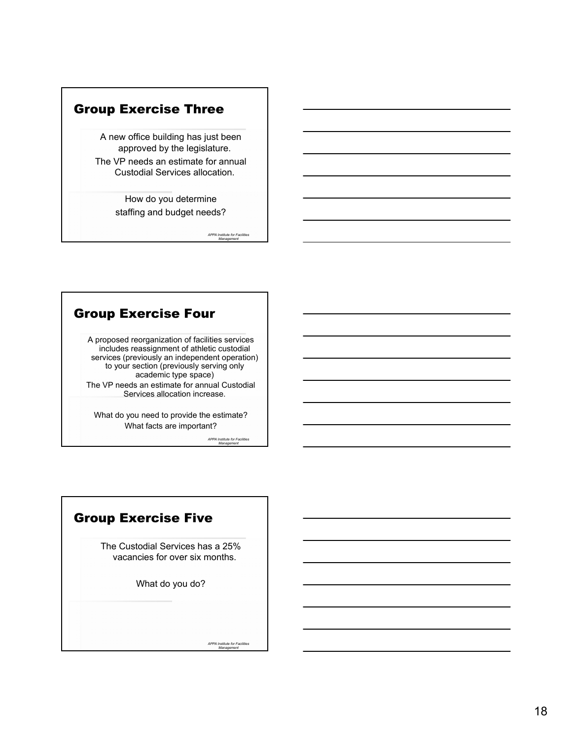# Group Exercise Three

A new office building has just been approved by the legislature.

The VP needs an estimate for annual Custodial Services allocation.

> How do you determine staffing and budget needs?

> > *APPA Institute for Facilities Management*

### Group Exercise Four

A proposed reorganization of facilities services includes reassignment of athletic custodial services (previously an independent operation) to your section (previously serving only academic type space)

The VP needs an estimate for annual Custodial Services allocation increase.

What do you need to provide the estimate? What facts are important?

*APPA Institute for Facilities Management*

# Group Exercise Five

The Custodial Services has a 25% vacancies for over six months.

What do you do?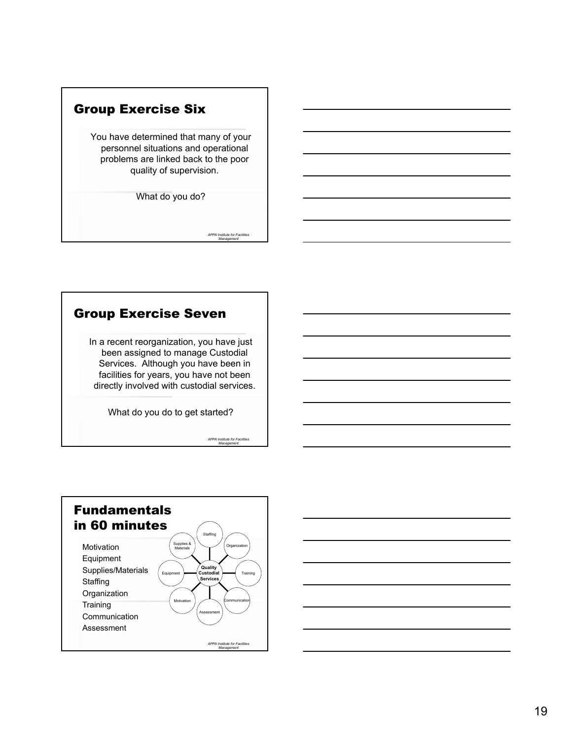

# Group Exercise Seven

In a recent reorganization, you have just been assigned to manage Custodial Services. Although you have been in facilities for years, you have not been directly involved with custodial services.

What do you do to get started?